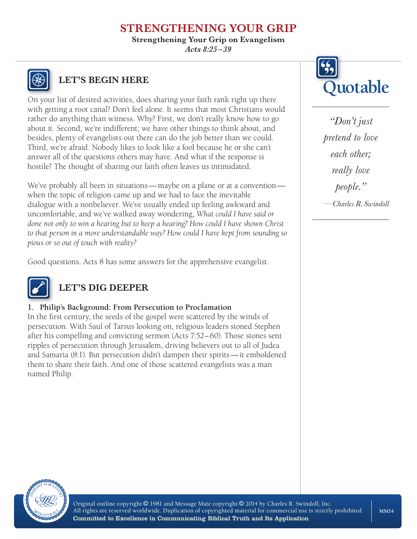**Strengthening Your Grip on Evangelism**

*Acts 8:25 –39*



On your list of desired activities, does sharing your faith rank right up there with getting a root canal? Don't feel alone. It seems that most Christians would rather do anything than witness. Why? First, we don't really know how to go about it. Second, we're indifferent; we have other things to think about, and besides, plenty of evangelists out there can do the job better than we could. Third, we're afraid. Nobody likes to look like a fool because he or she can't answer all of the questions others may have. And what if the response is hostile? The thought of sharing our faith often leaves us intimidated.

We've probably all been in situations—maybe on a plane or at a convention when the topic of religion came up and we had to face the inevitable dialogue with a nonbeliever. We've usually ended up feeling awkward and uncomfortable, and we've walked away wondering, *What could I have said or done not only to win a hearing but to keep a hearing? How could I have shown Christ to that person in a more understandable way? How could I have kept from sounding so pious or so out of touch with reality?*

Good questions. Acts 8 has some answers for the apprehensive evangelist.



# **LET'S DIG DEEPER**

#### **1. Philip's Background: From Persecution to Proclamation**

In the first century, the seeds of the gospel were scattered by the winds of persecution. With Saul of Tarsus looking on, religious leaders stoned Stephen after his compelling and convicting sermon (Acts 7:52–60). Those stones sent ripples of persecution through Jerusalem, driving believers out to all of Judea and Samaria (8:1). But persecution didn't dampen their spirits—it emboldened them to share their faith. And one of those scattered evangelists was a man named Philip.



*"Don't just pretend to love each other; really love people." —Charles R. Swindoll*

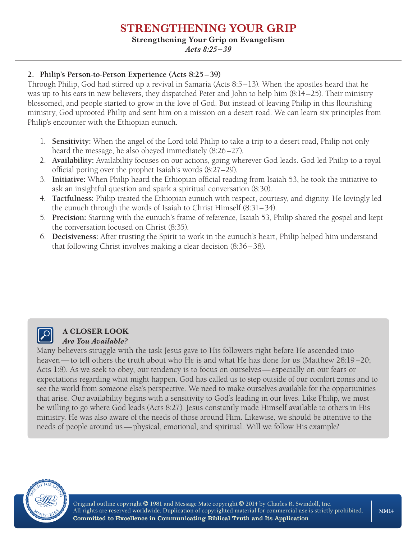#### **Strengthening Your Grip on Evangelism**

*Acts 8:25 –39*

#### **2. Philip's Person-to-Person Experience (Acts 8:25–39)**

Through Philip, God had stirred up a revival in Samaria (Acts 8:5–13). When the apostles heard that he was up to his ears in new believers, they dispatched Peter and John to help him (8:14–25). Their ministry blossomed, and people started to grow in the love of God. But instead of leaving Philip in this flourishing ministry, God uprooted Philip and sent him on a mission on a desert road. We can learn six principles from Philip's encounter with the Ethiopian eunuch.

- 1. **Sensitivity:** When the angel of the Lord told Philip to take a trip to a desert road, Philip not only heard the message, he also obeyed immediately (8:26–27).
- 2. **Availability:** Availability focuses on our actions, going wherever God leads. God led Philip to a royal official poring over the prophet Isaiah's words (8:27–29).
- 3. **Initiative:** When Philip heard the Ethiopian official reading from Isaiah 53, he took the initiative to ask an insightful question and spark a spiritual conversation (8:30).
- 4. **Tactfulness:** Philip treated the Ethiopian eunuch with respect, courtesy, and dignity. He lovingly led the eunuch through the words of Isaiah to Christ Himself (8:31–34).
- 5. **Precision:** Starting with the eunuch's frame of reference, Isaiah 53, Philip shared the gospel and kept the conversation focused on Christ (8:35).
- 6. **Decisiveness:** After trusting the Spirit to work in the eunuch's heart, Philip helped him understand that following Christ involves making a clear decision (8:36–38).

### **A CLOSER LOOK** *Are You Available?*

Many believers struggle with the task Jesus gave to His followers right before He ascended into heaven—to tell others the truth about who He is and what He has done for us (Matthew 28:19 –20; Acts 1:8). As we seek to obey, our tendency is to focus on ourselves—especially on our fears or expectations regarding what might happen. God has called us to step outside of our comfort zones and to see the world from someone else's perspective. We need to make ourselves available for the opportunities that arise. Our availability begins with a sensitivity to God's leading in our lives. Like Philip, we must be willing to go where God leads (Acts 8:27). Jesus constantly made Himself available to others in His ministry. He was also aware of the needs of those around Him. Likewise, we should be attentive to the needs of people around us—physical, emotional, and spiritual. Will we follow His example?



Original outline copyright © 1981 and Message Mate copyright © 2014 by Charles R. Swindoll, Inc. All rights are reserved worldwide. Duplication of copyrighted material for commercial use is strictly prohibited. Committed to Excellence in Communicating Biblical Truth and Its Application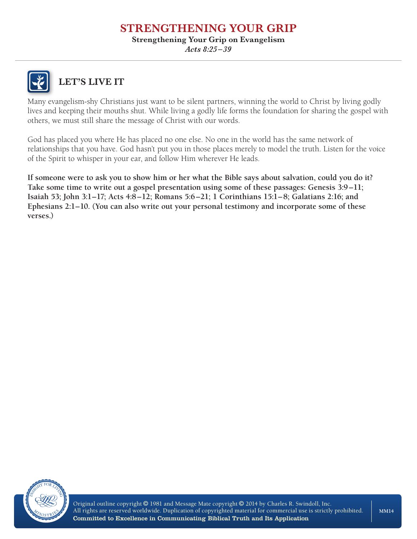#### **Strengthening Your Grip on Evangelism**

*Acts 8:25 –39*



**LET'S LIVE IT**

Many evangelism-shy Christians just want to be silent partners, winning the world to Christ by living godly lives and keeping their mouths shut. While living a godly life forms the foundation for sharing the gospel with others, we must still share the message of Christ with our words.

God has placed you where He has placed no one else. No one in the world has the same network of relationships that you have. God hasn't put you in those places merely to model the truth. Listen for the voice of the Spirit to whisper in your ear, and follow Him wherever He leads.

**If someone were to ask you to show him or her what the Bible says about salvation, could you do it? Take some time to write out a gospel presentation using some of these passages: Genesis 3:9–11; Isaiah 53; John 3:1–17; Acts 4:8–12; Romans 5:6–21; 1 Corinthians 15:1–8; Galatians 2:16; and Ephesians 2:1–10. (You can also write out your personal testimony and incorporate some of these verses.)**